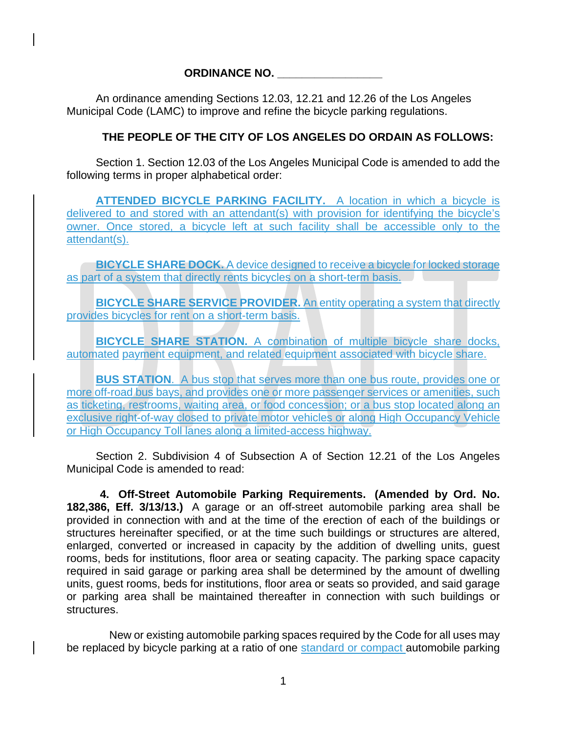## **ORDINANCE NO. \_\_\_\_\_\_\_\_\_\_\_\_\_\_\_\_\_**

An ordinance amending Sections 12.03, 12.21 and 12.26 of the Los Angeles Municipal Code (LAMC) to improve and refine the bicycle parking regulations.

## **THE PEOPLE OF THE CITY OF LOS ANGELES DO ORDAIN AS FOLLOWS:**

Section 1. Section 12.03 of the Los Angeles Municipal Code is amended to add the following terms in proper alphabetical order:

**ATTENDED BICYCLE PARKING FACILITY.** A location in which a bicycle is delivered to and stored with an attendant(s) with provision for identifying the bicycle's owner. Once stored, a bicycle left at such facility shall be accessible only to the attendant(s).

**BICYCLE SHARE DOCK.** A device designed to receive a bicycle for locked storage as part of a system that directly rents bicycles on a short-term basis.

**BICYCLE SHARE SERVICE PROVIDER.** An entity operating a system that directly provides bicycles for rent on a short-term basis.

**BICYCLE SHARE STATION.** A combination of multiple bicycle share docks, automated payment equipment, and related equipment associated with bicycle share.

**BUS STATION.** A bus stop that serves more than one bus route, provides one or more off-road bus bays, and provides one or more passenger services or amenities, such as ticketing, restrooms, waiting area, or food concession; or a bus stop located along an exclusive right-of-way closed to private motor vehicles or along High Occupancy Vehicle or High Occupancy Toll lanes along a limited-access highway.

Section 2. Subdivision 4 of Subsection A of Section 12.21 of the Los Angeles Municipal Code is amended to read:

**4. Off-Street Automobile Parking Requirements. (Amended by Ord. No. 182,386, Eff. 3/13/13.)** A garage or an off-street automobile parking area shall be provided in connection with and at the time of the erection of each of the buildings or structures hereinafter specified, or at the time such buildings or structures are altered, enlarged, converted or increased in capacity by the addition of dwelling units, guest rooms, beds for institutions, floor area or seating capacity. The parking space capacity required in said garage or parking area shall be determined by the amount of dwelling units, guest rooms, beds for institutions, floor area or seats so provided, and said garage or parking area shall be maintained thereafter in connection with such buildings or structures.

 New or existing automobile parking spaces required by the Code for all uses may be replaced by bicycle parking at a ratio of one standard or compact automobile parking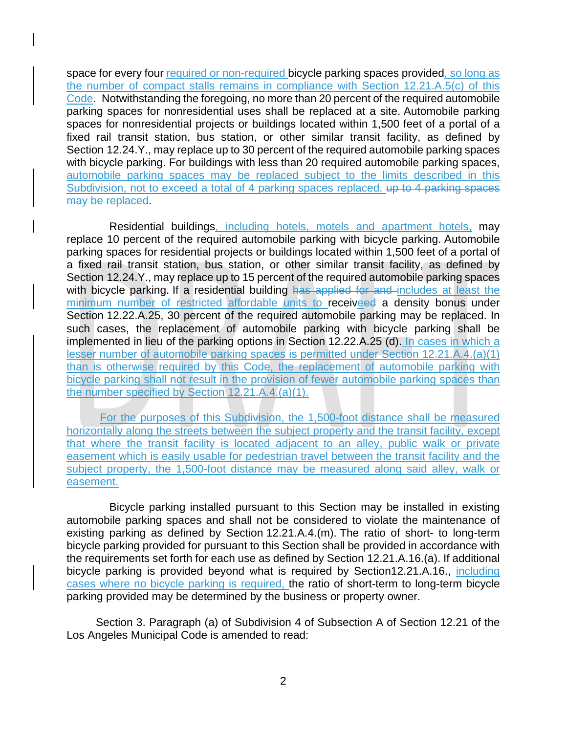space for every four required or non-required bicycle parking spaces provided, so long as the number of compact stalls remains in compliance with Section 12.21.A.5(c) of this Code. Notwithstanding the foregoing, no more than 20 percent of the required automobile parking spaces for nonresidential uses shall be replaced at a site. Automobile parking spaces for nonresidential projects or buildings located within 1,500 feet of a portal of a fixed rail transit station, bus station, or other similar transit facility, as defined by Section [12.24.](http://library.amlegal.com/nxt/gateway.dll?f=jumplink$jumplink_x=Advanced$jumplink_vpc=first$jumplink_xsl=querylink.xsl$jumplink_sel=title;path;content-type;home-title;item-bookmark$jumplink_d=california(lapz)$jumplink_q=%5bfield%20folio-destination-name:%2712.24.%27%5d$jumplink_md=target-id=JD_12.24.)Y., may replace up to 30 percent of the required automobile parking spaces with bicycle parking. For buildings with less than 20 required automobile parking spaces, automobile parking spaces may be replaced subject to the limits described in this Subdivision, not to exceed a total of 4 parking spaces replaced. up to 4 parking spaces may be replaced.

 Residential buildings, including hotels, motels and apartment hotels, may replace 10 percent of the required automobile parking with bicycle parking. Automobile parking spaces for residential projects or buildings located within 1,500 feet of a portal of a fixed rail transit station, bus station, or other similar transit facility, as defined by Section [12.24.](http://library.amlegal.com/nxt/gateway.dll?f=jumplink$jumplink_x=Advanced$jumplink_vpc=first$jumplink_xsl=querylink.xsl$jumplink_sel=title;path;content-type;home-title;item-bookmark$jumplink_d=california(lapz)$jumplink_q=%5bfield%20folio-destination-name:%2712.24.%27%5d$jumplink_md=target-id=JD_12.24.)Y., may replace up to 15 percent of the required automobile parking spaces with bicycle parking. If a residential building has applied for and includes at least the minimum number of restricted affordable units to receiveed a density bonus under Section [12.22.](http://library.amlegal.com/nxt/gateway.dll?f=jumplink$jumplink_x=Advanced$jumplink_vpc=first$jumplink_xsl=querylink.xsl$jumplink_sel=title;path;content-type;home-title;item-bookmark$jumplink_d=california(lapz)$jumplink_q=%5bfield%20folio-destination-name:%2712.22.%27%5d$jumplink_md=target-id=JD_12.22.)A.25, 30 percent of the required automobile parking may be replaced. In such cases, the replacement of automobile parking with bicycle parking shall be implemented in lieu of the parking options in Section [12.22.](http://library.amlegal.com/nxt/gateway.dll?f=jumplink$jumplink_x=Advanced$jumplink_vpc=first$jumplink_xsl=querylink.xsl$jumplink_sel=title;path;content-type;home-title;item-bookmark$jumplink_d=california(lapz)$jumplink_q=%5bfield%20folio-destination-name:%2712.22.%27%5d$jumplink_md=target-id=JD_12.22.)A.25 (d). In cases in which a lesser number of automobile parking spaces is permitted under Section 12.21.A.4.(a)(1) than is otherwise required by this Code, the replacement of automobile parking with bicycle parking shall not result in the provision of fewer automobile parking spaces than the number specified by Section 12.21.A.4.(a)(1).

For the purposes of this Subdivision, the 1,500-foot distance shall be measured horizontally along the streets between the subject property and the transit facility, except that where the transit facility is located adjacent to an alley, public walk or private easement which is easily usable for pedestrian travel between the transit facility and the subject property, the 1,500-foot distance may be measured along said alley, walk or easement.

 Bicycle parking installed pursuant to this Section may be installed in existing automobile parking spaces and shall not be considered to violate the maintenance of existing parking as defined by Section [12.21.](http://library.amlegal.com/nxt/gateway.dll?f=jumplink$jumplink_x=Advanced$jumplink_vpc=first$jumplink_xsl=querylink.xsl$jumplink_sel=title;path;content-type;home-title;item-bookmark$jumplink_d=california(lapz)$jumplink_q=%5bfield%20folio-destination-name:%2712.21.%27%5d$jumplink_md=target-id=JD_12.21.)A.4.(m). The ratio of short- to long-term bicycle parking provided for pursuant to this Section shall be provided in accordance with the requirements set forth for each use as defined by Section [12.21.](http://library.amlegal.com/nxt/gateway.dll?f=jumplink$jumplink_x=Advanced$jumplink_vpc=first$jumplink_xsl=querylink.xsl$jumplink_sel=title;path;content-type;home-title;item-bookmark$jumplink_d=california(lapz)$jumplink_q=%5bfield%20folio-destination-name:%2712.21.%27%5d$jumplink_md=target-id=JD_12.21.)A.16.(a). If additional bicycle parking is provided beyond what is required by Sectio[n12.21.](http://library.amlegal.com/nxt/gateway.dll?f=jumplink$jumplink_x=Advanced$jumplink_vpc=first$jumplink_xsl=querylink.xsl$jumplink_sel=title;path;content-type;home-title;item-bookmark$jumplink_d=california(lapz)$jumplink_q=%5bfield%20folio-destination-name:%2712.21.%27%5d$jumplink_md=target-id=JD_12.21.)A.16., including cases where no bicycle parking is required, the ratio of short-term to long-term bicycle parking provided may be determined by the business or property owner.

Section 3. Paragraph (a) of Subdivision 4 of Subsection A of Section 12.21 of the Los Angeles Municipal Code is amended to read: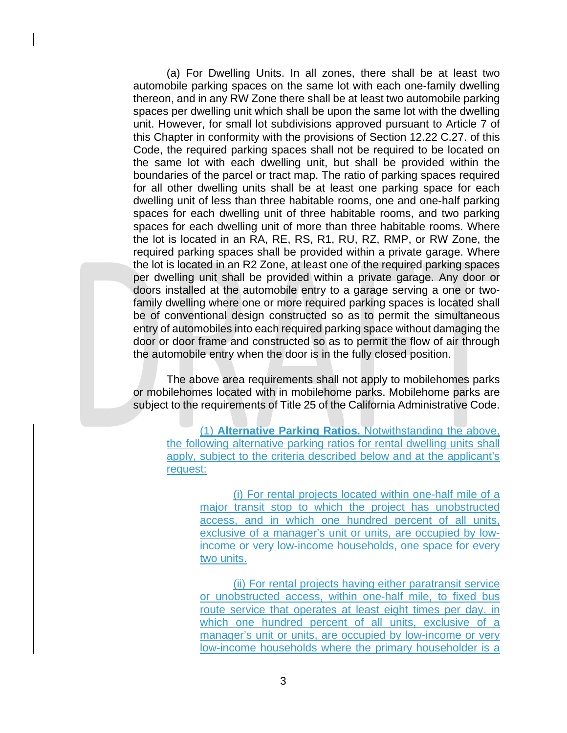(a) For Dwelling Units. In all zones, there shall be at least two automobile parking spaces on the same lot with each one-family dwelling thereon, and in any RW Zone there shall be at least two automobile parking spaces per dwelling unit which shall be upon the same lot with the dwelling unit. However, for small lot subdivisions approved pursuant to Article 7 of this Chapter in conformity with the provisions of Section 12.22 C.27. of this Code, the required parking spaces shall not be required to be located on the same lot with each dwelling unit, but shall be provided within the boundaries of the parcel or tract map. The ratio of parking spaces required for all other dwelling units shall be at least one parking space for each dwelling unit of less than three habitable rooms, one and one-half parking spaces for each dwelling unit of three habitable rooms, and two parking spaces for each dwelling unit of more than three habitable rooms. Where the lot is located in an RA, RE, RS, R1, RU, RZ, RMP, or RW Zone, the required parking spaces shall be provided within a private garage. Where the lot is located in an R2 Zone, at least one of the required parking spaces per dwelling unit shall be provided within a private garage. Any door or doors installed at the automobile entry to a garage serving a one or twofamily dwelling where one or more required parking spaces is located shall be of conventional design constructed so as to permit the simultaneous entry of automobiles into each required parking space without damaging the door or door frame and constructed so as to permit the flow of air through the automobile entry when the door is in the fully closed position.

The above area requirements shall not apply to mobilehomes parks or mobilehomes located with in mobilehome parks. Mobilehome parks are subject to the requirements of Title 25 of the California Administrative Code.

(1) **Alternative Parking Ratios.** Notwithstanding the above, the following alternative parking ratios for rental dwelling units shall apply, subject to the criteria described below and at the applicant's request:

> (i) For rental projects located within one-half mile of a major transit stop to which the project has unobstructed access, and in which one hundred percent of all units, exclusive of a manager's unit or units, are occupied by lowincome or very low-income households, one space for every two units.

> (ii) For rental projects having either paratransit service or unobstructed access, within one-half mile, to fixed bus route service that operates at least eight times per day, in which one hundred percent of all units, exclusive of a manager's unit or units, are occupied by low-income or very low-income households where the primary householder is a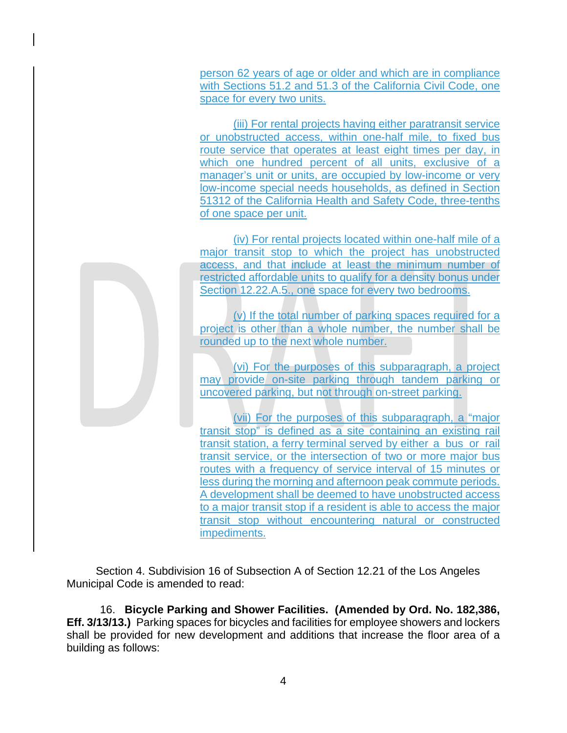person 62 years of age or older and which are in compliance with Sections 51.2 and 51.3 of the California Civil Code, one space for every two units.

(iii) For rental projects having either paratransit service or unobstructed access, within one-half mile, to fixed bus route service that operates at least eight times per day, in which one hundred percent of all units, exclusive of a manager's unit or units, are occupied by low-income or very low-income special needs households, as defined in Section 51312 of the California Health and Safety Code, three-tenths of one space per unit.

(iv) For rental projects located within one-half mile of a major transit stop to which the project has unobstructed access, and that include at least the minimum number of restricted affordable units to qualify for a density bonus under Section 12.22.A.5., one space for every two bedrooms.

(v) If the total number of parking spaces required for a project is other than a whole number, the number shall be rounded up to the next whole number.

(vi) For the purposes of this subparagraph, a project may provide on-site parking through tandem parking or uncovered parking, but not through on-street parking.

(vii) For the purposes of this subparagraph, a "major transit stop" is defined as a site containing an existing rail transit station, a ferry terminal served by either a bus or rail transit service, or the intersection of two or more major bus routes with a frequency of service interval of 15 minutes or less during the morning and afternoon peak commute periods. A development shall be deemed to have unobstructed access to a major transit stop if a resident is able to access the major transit stop without encountering natural or constructed impediments.

Section 4. Subdivision 16 of Subsection A of Section 12.21 of the Los Angeles Municipal Code is amended to read:

16. **Bicycle Parking and Shower Facilities. (Amended by Ord. No. 182,386, Eff. 3/13/13.)** Parking spaces for bicycles and facilities for employee showers and lockers shall be provided for new development and additions that increase the floor area of a building as follows:

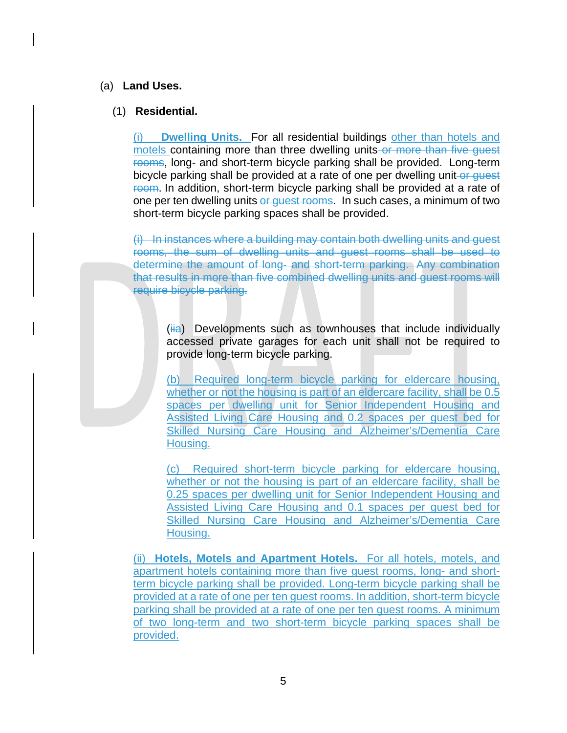### (a) **Land Uses.**

### (1) **Residential.**

(i) **Dwelling Units.** For all residential buildings other than hotels and motels containing more than three dwelling units or more than five guest rooms, long- and short-term bicycle parking shall be provided. Long-term bicycle parking shall be provided at a rate of one per dwelling unit-or quest Foom. In addition, short-term bicycle parking shall be provided at a rate of one per ten dwelling units or quest rooms. In such cases, a minimum of two short-term bicycle parking spaces shall be provided.

(i) In instances where a building may contain both dwelling units and guest rooms, the sum of dwelling units and guest rooms shall be used to determine the amount of long- and short-term parking. Any combination that results in more than five combined dwelling units and guest rooms will require bicycle parking.

 $(iii)$  Developments such as townhouses that include individually accessed private garages for each unit shall not be required to provide long-term bicycle parking.

(b) Required long-term bicycle parking for eldercare housing, whether or not the housing is part of an eldercare facility, shall be 0.5 spaces per dwelling unit for Senior Independent Housing and Assisted Living Care Housing and 0.2 spaces per guest bed for Skilled Nursing Care Housing and Alzheimer's/Dementia Care Housing.

(c) Required short-term bicycle parking for eldercare housing, whether or not the housing is part of an eldercare facility, shall be 0.25 spaces per dwelling unit for Senior Independent Housing and Assisted Living Care Housing and 0.1 spaces per guest bed for Skilled Nursing Care Housing and Alzheimer's/Dementia Care Housing.

(ii) **Hotels, Motels and Apartment Hotels.** For all hotels, motels, and apartment hotels containing more than five guest rooms, long- and shortterm bicycle parking shall be provided. Long-term bicycle parking shall be provided at a rate of one per ten guest rooms. In addition, short-term bicycle parking shall be provided at a rate of one per ten guest rooms. A minimum of two long-term and two short-term bicycle parking spaces shall be provided.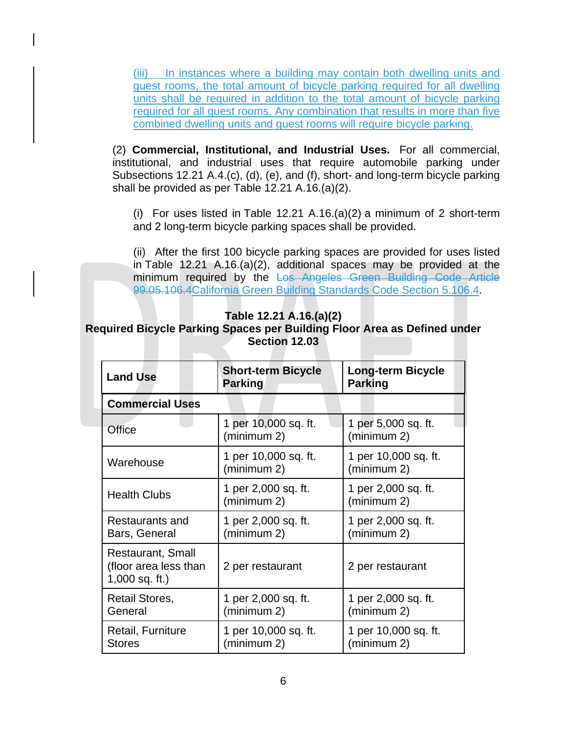(iii) In instances where a building may contain both dwelling units and guest rooms, the total amount of bicycle parking required for all dwelling units shall be required in addition to the total amount of bicycle parking required for all guest rooms. Any combination that results in more than five combined dwelling units and guest rooms will require bicycle parking.

(2) **Commercial, Institutional, and Industrial Uses.** For all commercial, institutional, and industrial uses that require automobile parking under Subsections 12.21 A.4.(c), (d), (e), and (f), short- and long-term bicycle parking shall be provided as per [Table 12.21 A.16.\(a\)\(2\).](http://library.amlegal.com/nxt/gateway.dll?f=jumplink$jumplink_x=Advanced$jumplink_vpc=first$jumplink_xsl=querylink.xsl$jumplink_sel=title;path;content-type;home-title;item-bookmark$jumplink_d=california(lapz)$jumplink_q=%5bfield%20folio-destination-name:%27Table%2012.21%20A.16.(a)(2)%27%5d$jumplink_md=target-id=JD_Table12.21A.16.(a)(2))

(i) For uses listed in [Table 12.21 A.16.\(a\)\(2\)](http://library.amlegal.com/nxt/gateway.dll?f=jumplink$jumplink_x=Advanced$jumplink_vpc=first$jumplink_xsl=querylink.xsl$jumplink_sel=title;path;content-type;home-title;item-bookmark$jumplink_d=california(lapz)$jumplink_q=%5bfield%20folio-destination-name:%27Table%2012.21%20A.16.(a)(2)%27%5d$jumplink_md=target-id=JD_Table12.21A.16.(a)(2)) a minimum of 2 short-term and 2 long-term bicycle parking spaces shall be provided.

(ii) After the first 100 bicycle parking spaces are provided for uses listed in [Table 12.21 A.16.\(a\)\(2\),](http://library.amlegal.com/nxt/gateway.dll?f=jumplink$jumplink_x=Advanced$jumplink_vpc=first$jumplink_xsl=querylink.xsl$jumplink_sel=title;path;content-type;home-title;item-bookmark$jumplink_d=california(lapz)$jumplink_q=%5bfield%20folio-destination-name:%27Table%2012.21%20A.16.(a)(2)%27%5d$jumplink_md=target-id=JD_Table12.21A.16.(a)(2)) additional spaces may be provided at the minimum required by the Los Angeles Green Building Code Article 99.05.106.4California Green Building Standards Code Section 5.106.4.

### **Table 12.21 A.16.(a)(2)**

#### **Required Bicycle Parking Spaces per Building Floor Area as Defined under Section [12.03](http://library.amlegal.com/nxt/gateway.dll?f=jumplink$jumplink_x=Advanced$jumplink_vpc=first$jumplink_xsl=querylink.xsl$jumplink_sel=title;path;content-type;home-title;item-bookmark$jumplink_d=california(lapz)$jumplink_q=%5bfield%20folio-destination-name:%2712.03.%27%5d$jumplink_md=target-id=JD_12.03.)**

| <b>Land Use</b>                                                | <b>Short-term Bicycle</b><br>Parking | <b>Long-term Bicycle</b><br><b>Parking</b> |
|----------------------------------------------------------------|--------------------------------------|--------------------------------------------|
| <b>Commercial Uses</b>                                         |                                      |                                            |
| Office                                                         | 1 per 10,000 sq. ft.<br>(minimum 2)  | 1 per 5,000 sq. ft.<br>(minimum 2)         |
| Warehouse                                                      | 1 per 10,000 sq. ft.<br>(minimum 2)  | 1 per 10,000 sq. ft.<br>(minimum 2)        |
| <b>Health Clubs</b>                                            | 1 per 2,000 sq. ft.<br>(minimum 2)   | 1 per 2,000 sq. ft.<br>(minimum 2)         |
| Restaurants and<br>Bars, General                               | 1 per 2,000 sq. ft.<br>(minimum 2)   | 1 per 2,000 sq. ft.<br>(minimum 2)         |
| Restaurant, Small<br>(floor area less than<br>$1,000$ sq. ft.) | 2 per restaurant                     | 2 per restaurant                           |
| Retail Stores,<br>General                                      | 1 per 2,000 sq. ft.<br>(minimum 2)   | 1 per 2,000 sq. ft.<br>(minimum 2)         |
| Retail, Furniture<br><b>Stores</b>                             | 1 per 10,000 sq. ft.<br>(minimum 2)  | 1 per 10,000 sq. ft.<br>(minimum 2)        |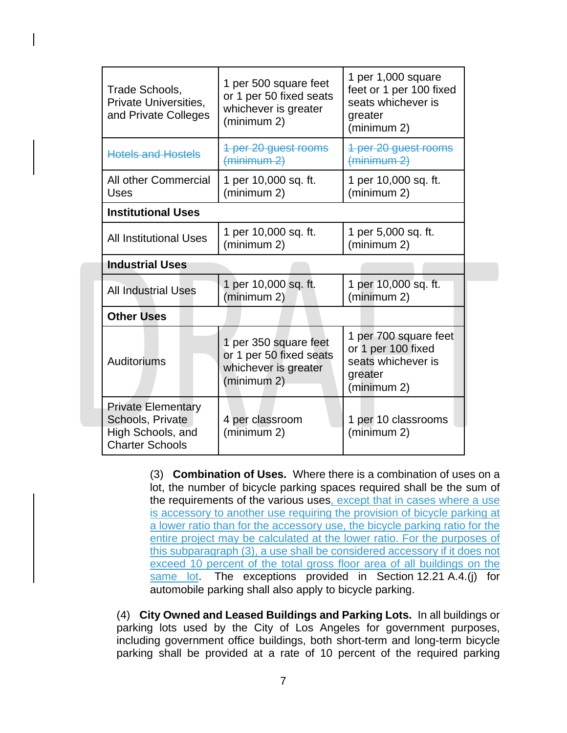| Trade Schools,<br><b>Private Universities,</b><br>and Private Colleges | 1 per 500 square feet<br>or 1 per 50 fixed seats<br>whichever is greater<br>(minimum 2) | 1 per 1,000 square<br>feet or 1 per 100 fixed<br>seats whichever is<br>greater<br>(minimum 2) |
|------------------------------------------------------------------------|-----------------------------------------------------------------------------------------|-----------------------------------------------------------------------------------------------|
| <b>Hotels and Hostels</b>                                              | 1 per 20 guest rooms<br>(minimum 2)                                                     | 1 per 20 guest rooms<br>(minimum 2)                                                           |
| All other Commercial<br>Uses                                           | 1 per 10,000 sq. ft.<br>(minimum 2)                                                     | 1 per 10,000 sq. ft.<br>(minimum 2)                                                           |
| <b>Institutional Uses</b>                                              |                                                                                         |                                                                                               |
| <b>All Institutional Uses</b>                                          | 1 per 10,000 sq. ft.<br>(minimum 2)                                                     | 1 per 5,000 sq. ft.<br>(minimum 2)                                                            |
| <b>Industrial Uses</b>                                                 |                                                                                         |                                                                                               |
| <b>All Industrial Uses</b>                                             | 1 per 10,000 sq. ft.<br>(minimum 2)                                                     | 1 per 10,000 sq. ft.<br>(minimum 2)                                                           |
| <b>Other Uses</b>                                                      |                                                                                         |                                                                                               |
| Auditoriums                                                            | 1 per 350 square feet<br>or 1 per 50 fixed seats<br>whichever is greater<br>(minimum 2) | 1 per 700 square feet<br>or 1 per 100 fixed<br>seats whichever is<br>greater<br>(minimum 2)   |
|                                                                        |                                                                                         |                                                                                               |

(3) **Combination of Uses.** Where there is a combination of uses on a lot, the number of bicycle parking spaces required shall be the sum of the requirements of the various uses, except that in cases where a use is accessory to another use requiring the provision of bicycle parking at a lower ratio than for the accessory use, the bicycle parking ratio for the entire project may be calculated at the lower ratio. For the purposes of this subparagraph (3), a use shall be considered accessory if it does not exceed 10 percent of the total gross floor area of all buildings on the same lot. The exceptions provided in Section [12.21](http://library.amlegal.com/nxt/gateway.dll?f=jumplink$jumplink_x=Advanced$jumplink_vpc=first$jumplink_xsl=querylink.xsl$jumplink_sel=title;path;content-type;home-title;item-bookmark$jumplink_d=california(lapz)$jumplink_q=%5bfield%20folio-destination-name:%2712.21.%27%5d$jumplink_md=target-id=JD_12.21.) A.4.(j) for automobile parking shall also apply to bicycle parking.

(4) **City Owned and Leased Buildings and Parking Lots.** In all buildings or parking lots used by the City of Los Angeles for government purposes, including government office buildings, both short-term and long-term bicycle parking shall be provided at a rate of 10 percent of the required parking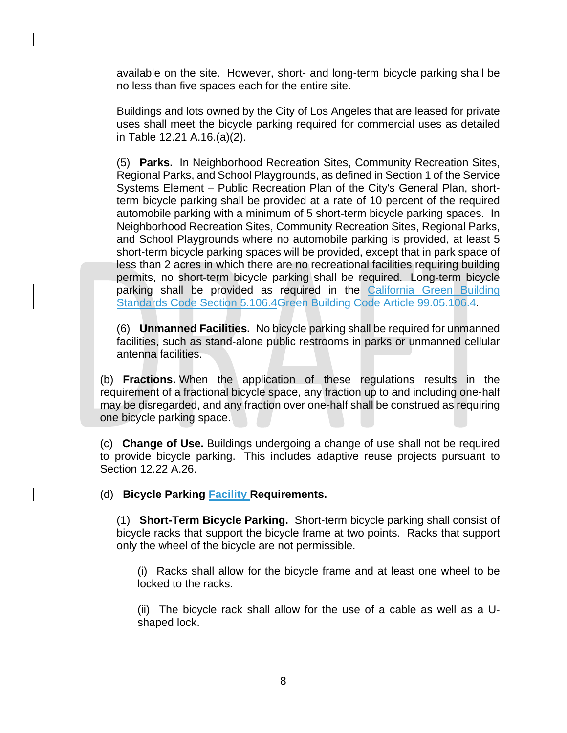available on the site. However, short- and long-term bicycle parking shall be no less than five spaces each for the entire site.

Buildings and lots owned by the City of Los Angeles that are leased for private uses shall meet the bicycle parking required for commercial uses as detailed in [Table 12.21 A.16.\(a\)\(2\).](http://library.amlegal.com/nxt/gateway.dll?f=jumplink$jumplink_x=Advanced$jumplink_vpc=first$jumplink_xsl=querylink.xsl$jumplink_sel=title;path;content-type;home-title;item-bookmark$jumplink_d=california(lapz)$jumplink_q=%5bfield%20folio-destination-name:%27Table%2012.21%20A.16.(a)(2)%27%5d$jumplink_md=target-id=JD_Table12.21A.16.(a)(2))

(5) **Parks.** In Neighborhood Recreation Sites, Community Recreation Sites, Regional Parks, and School Playgrounds, as defined in Section 1 of the Service Systems Element – Public Recreation Plan of the City's General Plan, shortterm bicycle parking shall be provided at a rate of 10 percent of the required automobile parking with a minimum of 5 short-term bicycle parking spaces. In Neighborhood Recreation Sites, Community Recreation Sites, Regional Parks, and School Playgrounds where no automobile parking is provided, at least 5 short-term bicycle parking spaces will be provided, except that in park space of less than 2 acres in which there are no recreational facilities requiring building permits, no short-term bicycle parking shall be required. Long-term bicycle parking shall be provided as required in the California Green Building Standards Code Section 5.106.4Green Building Code Article 99.05.106.4.

(6) **Unmanned Facilities.** No bicycle parking shall be required for unmanned facilities, such as stand-alone public restrooms in parks or unmanned cellular antenna facilities.

(b) **Fractions.** When the application of these regulations results in the requirement of a fractional bicycle space, any fraction up to and including one-half may be disregarded, and any fraction over one-half shall be construed as requiring one bicycle parking space.

(c) **Change of Use.** Buildings undergoing a change of use shall not be required to provide bicycle parking. This includes adaptive reuse projects pursuant to Section [12.22](http://library.amlegal.com/nxt/gateway.dll?f=jumplink$jumplink_x=Advanced$jumplink_vpc=first$jumplink_xsl=querylink.xsl$jumplink_sel=title;path;content-type;home-title;item-bookmark$jumplink_d=california(lapz)$jumplink_q=%5bfield%20folio-destination-name:%2712.22.%27%5d$jumplink_md=target-id=JD_12.22.) A.26.

(d) **Bicycle Parking Facility Requirements.**

(1) **Short-Term Bicycle Parking.** Short-term bicycle parking shall consist of bicycle racks that support the bicycle frame at two points. Racks that support only the wheel of the bicycle are not permissible.

(i) Racks shall allow for the bicycle frame and at least one wheel to be locked to the racks.

(ii) The bicycle rack shall allow for the use of a cable as well as a Ushaped lock.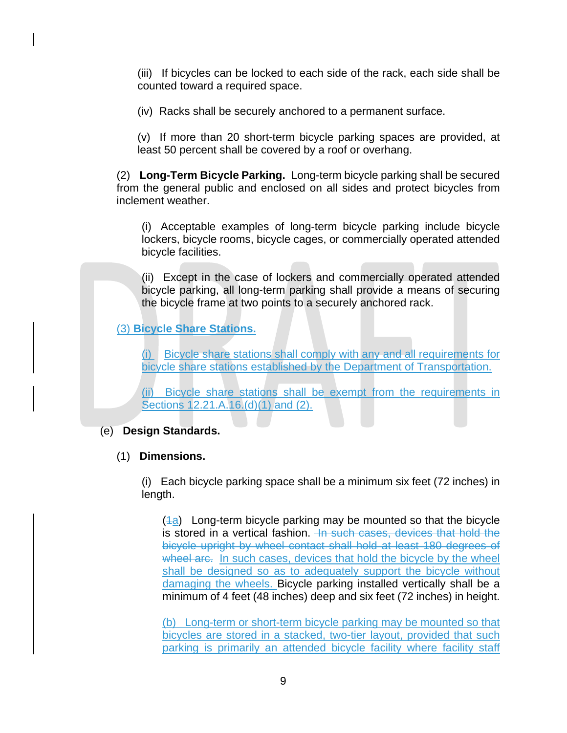(iii) If bicycles can be locked to each side of the rack, each side shall be counted toward a required space.

(iv) Racks shall be securely anchored to a permanent surface.

(v) If more than 20 short-term bicycle parking spaces are provided, at least 50 percent shall be covered by a roof or overhang.

(2) **Long-Term Bicycle Parking.** Long-term bicycle parking shall be secured from the general public and enclosed on all sides and protect bicycles from inclement weather.

(i) Acceptable examples of long-term bicycle parking include bicycle lockers, bicycle rooms, bicycle cages, or commercially operated attended bicycle facilities.

(ii) Except in the case of lockers and commercially operated attended bicycle parking, all long-term parking shall provide a means of securing the bicycle frame at two points to a securely anchored rack.

(3) **Bicycle Share Stations.**

(i) Bicycle share stations shall comply with any and all requirements for bicycle share stations established by the Department of Transportation.

(ii) Bicycle share stations shall be exempt from the requirements in Sections 12.21.A.16.(d)(1) and (2).

# (e) **Design Standards.**

## (1) **Dimensions.**

(i) Each bicycle parking space shall be a minimum six feet (72 inches) in length.

 $(4a)$  Long-term bicycle parking may be mounted so that the bicycle is stored in a vertical fashion. In such cases, devices that hold the bicycle upright by wheel contact shall hold at least 180 degrees of wheel are. In such cases, devices that hold the bicycle by the wheel shall be designed so as to adequately support the bicycle without damaging the wheels. Bicycle parking installed vertically shall be a minimum of 4 feet (48 inches) deep and six feet (72 inches) in height.

(b) Long-term or short-term bicycle parking may be mounted so that bicycles are stored in a stacked, two-tier layout, provided that such parking is primarily an attended bicycle facility where facility staff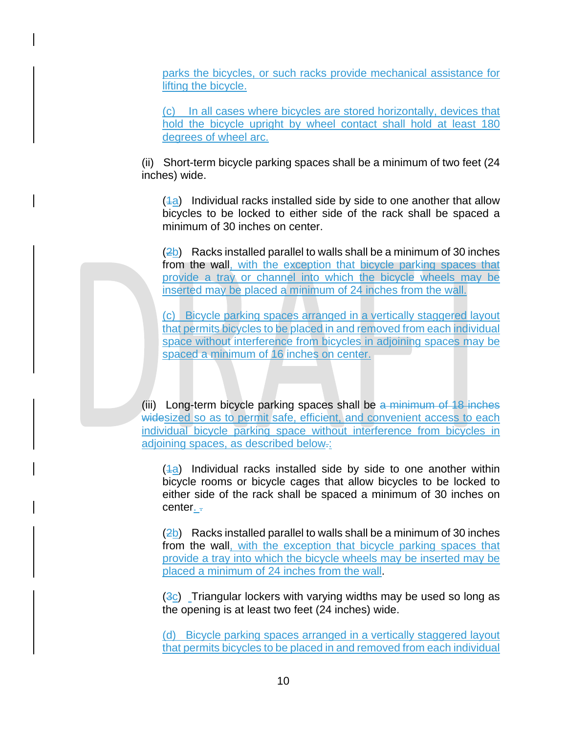parks the bicycles, or such racks provide mechanical assistance for lifting the bicycle.

(c) In all cases where bicycles are stored horizontally, devices that hold the bicycle upright by wheel contact shall hold at least 180 degrees of wheel arc.

(ii) Short-term bicycle parking spaces shall be a minimum of two feet (24 inches) wide.

 $(4a)$  Individual racks installed side by side to one another that allow bicycles to be locked to either side of the rack shall be spaced a minimum of 30 inches on center.

(2b) Racks installed parallel to walls shall be a minimum of 30 inches from the wall, with the exception that bicycle parking spaces that provide a tray or channel into which the bicycle wheels may be inserted may be placed a minimum of 24 inches from the wall.

(c) Bicycle parking spaces arranged in a vertically staggered layout that permits bicycles to be placed in and removed from each individual space without interference from bicycles in adjoining spaces may be spaced a minimum of 16 inches on center.

(iii) Long-term bicycle parking spaces shall be a minimum of 18 inches widesized so as to permit safe, efficient, and convenient access to each individual bicycle parking space without interference from bicycles in adjoining spaces, as described below.:

 $(4a)$  Individual racks installed side by side to one another within bicycle rooms or bicycle cages that allow bicycles to be locked to either side of the rack shall be spaced a minimum of 30 inches on center. -

 $(2b)$  Racks installed parallel to walls shall be a minimum of 30 inches from the wall, with the exception that bicycle parking spaces that provide a tray into which the bicycle wheels may be inserted may be placed a minimum of 24 inches from the wall.

 $(3c)$  Triangular lockers with varying widths may be used so long as the opening is at least two feet (24 inches) wide.

(d) Bicycle parking spaces arranged in a vertically staggered layout that permits bicycles to be placed in and removed from each individual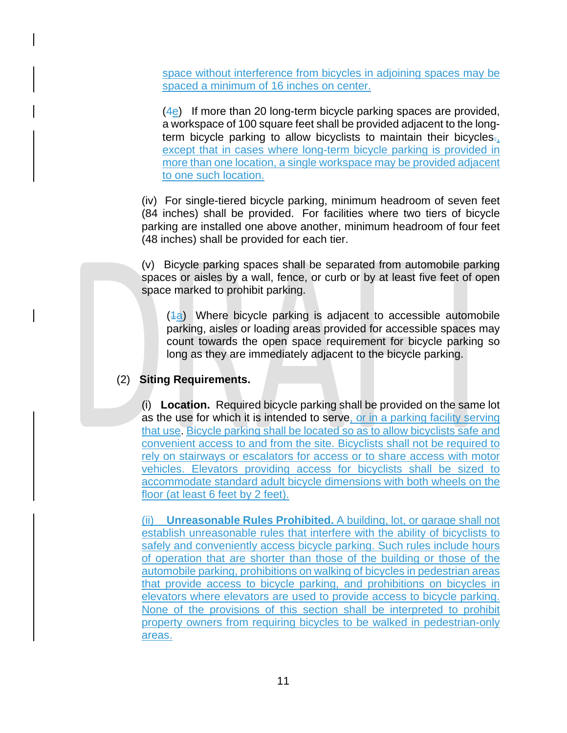space without interference from bicycles in adjoining spaces may be spaced a minimum of 16 inches on center.

 $(4e)$  If more than 20 long-term bicycle parking spaces are provided, a workspace of 100 square feet shall be provided adjacent to the longterm bicycle parking to allow bicyclists to maintain their bicycles. except that in cases where long-term bicycle parking is provided in more than one location, a single workspace may be provided adjacent to one such location.

(iv) For single-tiered bicycle parking, minimum headroom of seven feet (84 inches) shall be provided. For facilities where two tiers of bicycle parking are installed one above another, minimum headroom of four feet (48 inches) shall be provided for each tier.

(v) Bicycle parking spaces shall be separated from automobile parking spaces or aisles by a wall, fence, or curb or by at least five feet of open space marked to prohibit parking.

 $(4a)$  Where bicycle parking is adjacent to accessible automobile parking, aisles or loading areas provided for accessible spaces may count towards the open space requirement for bicycle parking so long as they are immediately adjacent to the bicycle parking.

## (2) **Siting Requirements.**

(i) **Location.** Required bicycle parking shall be provided on the same lot as the use for which it is intended to serve, or in a parking facility serving that use. Bicycle parking shall be located so as to allow bicyclists safe and convenient access to and from the site. Bicyclists shall not be required to rely on stairways or escalators for access or to share access with motor vehicles. Elevators providing access for bicyclists shall be sized to accommodate standard adult bicycle dimensions with both wheels on the floor (at least 6 feet by 2 feet).

(ii) **Unreasonable Rules Prohibited.** A building, lot, or garage shall not establish unreasonable rules that interfere with the ability of bicyclists to safely and conveniently access bicycle parking. Such rules include hours of operation that are shorter than those of the building or those of the automobile parking, prohibitions on walking of bicycles in pedestrian areas that provide access to bicycle parking, and prohibitions on bicycles in elevators where elevators are used to provide access to bicycle parking. None of the provisions of this section shall be interpreted to prohibit property owners from requiring bicycles to be walked in pedestrian-only areas.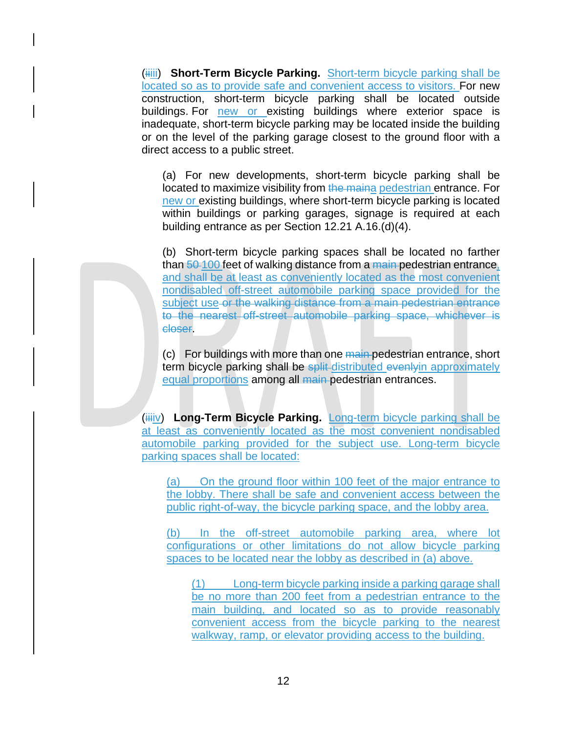(**iiiii**) Short-Term Bicycle Parking. Short-term bicycle parking shall be located so as to provide safe and convenient access to visitors. For new construction, short-term bicycle parking shall be located outside buildings. For new or existing buildings where exterior space is inadequate, short-term bicycle parking may be located inside the building or on the level of the parking garage closest to the ground floor with a direct access to a public street.

(a) For new developments, short-term bicycle parking shall be located to maximize visibility from the maina pedestrian entrance. For new or existing buildings, where short-term bicycle parking is located within buildings or parking garages, signage is required at each building entrance as per Section [12.21](http://library.amlegal.com/nxt/gateway.dll?f=jumplink$jumplink_x=Advanced$jumplink_vpc=first$jumplink_xsl=querylink.xsl$jumplink_sel=title;path;content-type;home-title;item-bookmark$jumplink_d=california(lapz)$jumplink_q=%5bfield%20folio-destination-name:%2712.21.%27%5d$jumplink_md=target-id=JD_12.21.) A.16.(d)(4).

(b) Short-term bicycle parking spaces shall be located no farther than 50-100 feet of walking distance from a main-pedestrian entrance, and shall be at least as conveniently located as the most convenient nondisabled off-street automobile parking space provided for the subject use or the walking distance from a main pedestrian entrance to the nearest off-street automobile parking space, whichever is closer.

(c) For buildings with more than one main pedestrian entrance, short term bicycle parking shall be split-distributed evenlyin approximately equal proportions among all main pedestrian entrances.

(iiiiv) **Long-Term Bicycle Parking.** Long-term bicycle parking shall be at least as conveniently located as the most convenient nondisabled automobile parking provided for the subject use. Long-term bicycle parking spaces shall be located:

(a) On the ground floor within 100 feet of the major entrance to the lobby. There shall be safe and convenient access between the public right-of-way, the bicycle parking space, and the lobby area.

(b) In the off-street automobile parking area, where lot configurations or other limitations do not allow bicycle parking spaces to be located near the lobby as described in (a) above.

(1) Long-term bicycle parking inside a parking garage shall be no more than 200 feet from a pedestrian entrance to the main building, and located so as to provide reasonably convenient access from the bicycle parking to the nearest walkway, ramp, or elevator providing access to the building.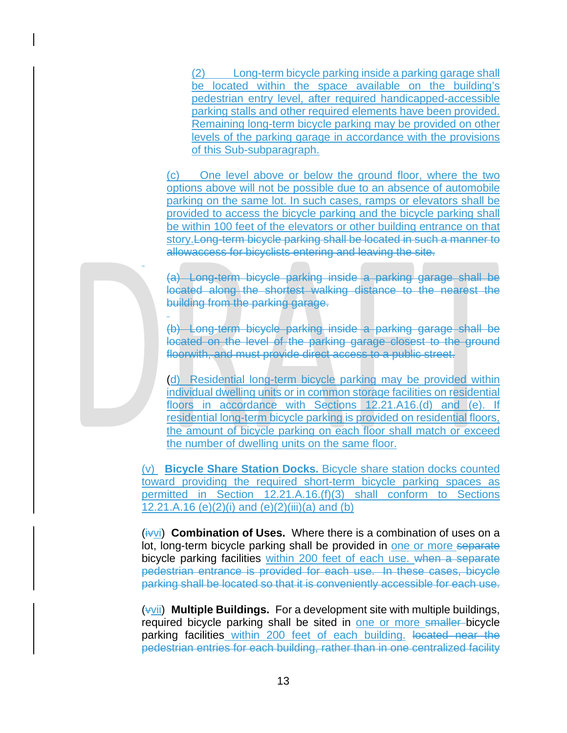(2) Long-term bicycle parking inside a parking garage shall be located within the space available on the building's pedestrian entry level, after required handicapped-accessible parking stalls and other required elements have been provided. Remaining long-term bicycle parking may be provided on other levels of the parking garage in accordance with the provisions of this Sub-subparagraph.

(c) One level above or below the ground floor, where the two options above will not be possible due to an absence of automobile parking on the same lot. In such cases, ramps or elevators shall be provided to access the bicycle parking and the bicycle parking shall be within 100 feet of the elevators or other building entrance on that story.Long-term bicycle parking shall be located in such a manner to allowaccess for bicyclists entering and leaving the site.

(a) Long-term bicycle parking inside a parking garage shall be located along the shortest walking distance to the nearest the building from the parking garage.

(b) Long-term bicycle parking inside a parking garage shall be located on the level of the parking garage closest to the ground floorwith, and must provide direct access to a public street.

(d) Residential long-term bicycle parking may be provided within individual dwelling units or in common storage facilities on residential floors in accordance with Sections 12.21.A16.(d) and (e). If residential long-term bicycle parking is provided on residential floors, the amount of bicycle parking on each floor shall match or exceed the number of dwelling units on the same floor.

(v) **Bicycle Share Station Docks.** Bicycle share station docks counted toward providing the required short-term bicycle parking spaces as permitted in Section 12.21.A.16.(f)(3) shall conform to Sections 12.21.A.16 (e)(2)(i) and (e)(2)(iii)(a) and (b)

(ithornal) **Combination of Uses.** Where there is a combination of uses on a lot, long-term bicycle parking shall be provided in one or more separate bicycle parking facilities within 200 feet of each use. when a separate pedestrian entrance is provided for each use. In these cases, bicycle parking shall be located so that it is conveniently accessible for each use.

(vvii) **Multiple Buildings.** For a development site with multiple buildings, required bicycle parking shall be sited in one or more smaller bicycle parking facilities within 200 feet of each building. located near the pedestrian entries for each building, rather than in one centralized facility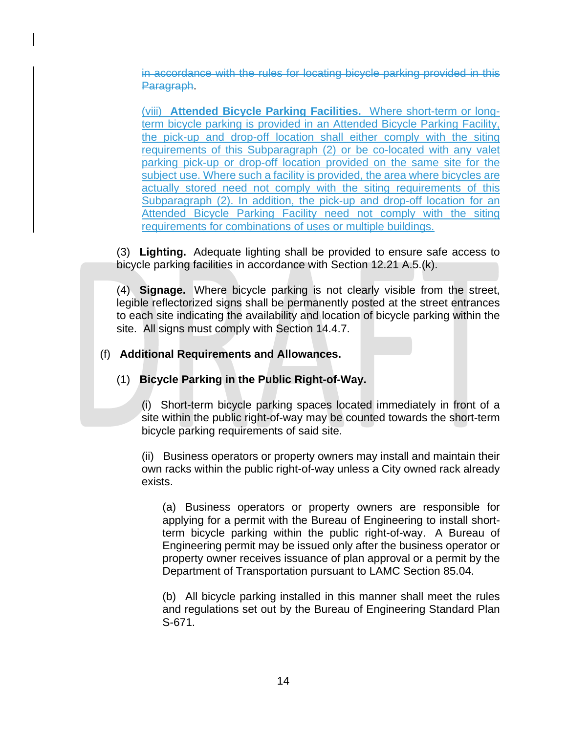in accordance with the rules for locating bicycle parking provided in this Paragraph.

(viii) **Attended Bicycle Parking Facilities.** Where short-term or longterm bicycle parking is provided in an Attended Bicycle Parking Facility, the pick-up and drop-off location shall either comply with the siting requirements of this Subparagraph (2) or be co-located with any valet parking pick-up or drop-off location provided on the same site for the subject use. Where such a facility is provided, the area where bicycles are actually stored need not comply with the siting requirements of this Subparagraph (2). In addition, the pick-up and drop-off location for an Attended Bicycle Parking Facility need not comply with the siting requirements for combinations of uses or multiple buildings.

(3) **Lighting.** Adequate lighting shall be provided to ensure safe access to bicycle parking facilities in accordance with Section [12.21](http://library.amlegal.com/nxt/gateway.dll?f=jumplink$jumplink_x=Advanced$jumplink_vpc=first$jumplink_xsl=querylink.xsl$jumplink_sel=title;path;content-type;home-title;item-bookmark$jumplink_d=california(lapz)$jumplink_q=%5bfield%20folio-destination-name:%2712.21.%27%5d$jumplink_md=target-id=JD_12.21.) A.5.(k).

(4) **Signage.** Where bicycle parking is not clearly visible from the street, legible reflectorized signs shall be permanently posted at the street entrances to each site indicating the availability and location of bicycle parking within the site. All signs must comply with Section [14.4.7.](http://library.amlegal.com/nxt/gateway.dll?f=jumplink$jumplink_x=Advanced$jumplink_vpc=first$jumplink_xsl=querylink.xsl$jumplink_sel=title;path;content-type;home-title;item-bookmark$jumplink_d=california(lapz)$jumplink_q=%5bfield%20folio-destination-name:%2714.4.7%27%5d$jumplink_md=target-id=JD_14.4.7)

## (f) **Additional Requirements and Allowances.**

(1) **Bicycle Parking in the Public Right-of-Way.**

(i) Short-term bicycle parking spaces located immediately in front of a site within the public right-of-way may be counted towards the short-term bicycle parking requirements of said site.

(ii) Business operators or property owners may install and maintain their own racks within the public right-of-way unless a City owned rack already exists.

(a) Business operators or property owners are responsible for applying for a permit with the Bureau of Engineering to install shortterm bicycle parking within the public right-of-way. A Bureau of Engineering permit may be issued only after the business operator or property owner receives issuance of plan approval or a permit by the Department of Transportation pursuant to LAMC Section [85.04.](javascript:openNamedPopup(%22/nxt/gateway.dll?f=id$id=lapz0-0-0-72-pop$t=document-frame.htm$3.0$p=%22,%22Not%20Part%20of%20Zoning%20Code...%22,7770,4035);)

(b) All bicycle parking installed in this manner shall meet the rules and regulations set out by the Bureau of Engineering Standard Plan S-671.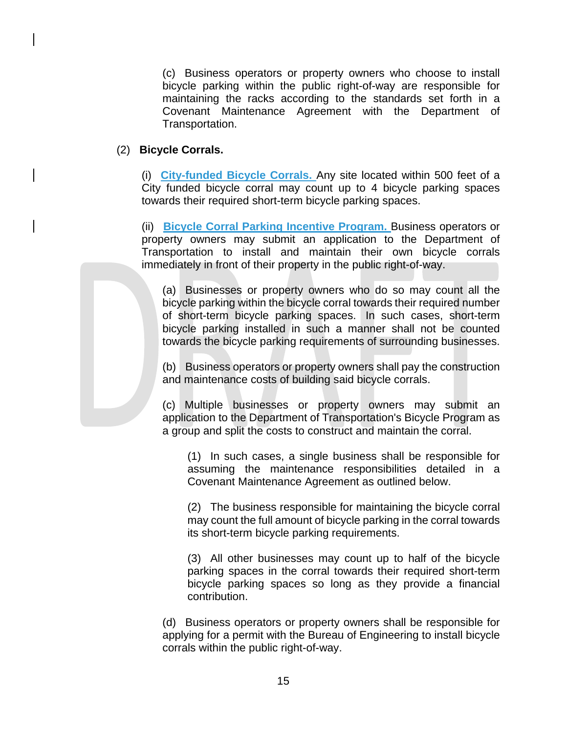(c) Business operators or property owners who choose to install bicycle parking within the public right-of-way are responsible for maintaining the racks according to the standards set forth in a Covenant Maintenance Agreement with the Department of Transportation.

## (2) **Bicycle Corrals.**

(i) **City-funded Bicycle Corrals.** Any site located within 500 feet of a City funded bicycle corral may count up to 4 bicycle parking spaces towards their required short-term bicycle parking spaces.

(ii) **Bicycle Corral Parking Incentive Program.** Business operators or property owners may submit an application to the Department of Transportation to install and maintain their own bicycle corrals immediately in front of their property in the public right-of-way.

(a) Businesses or property owners who do so may count all the bicycle parking within the bicycle corral towards their required number of short-term bicycle parking spaces. In such cases, short-term bicycle parking installed in such a manner shall not be counted towards the bicycle parking requirements of surrounding businesses.

(b) Business operators or property owners shall pay the construction and maintenance costs of building said bicycle corrals.

(c) Multiple businesses or property owners may submit an application to the Department of Transportation's Bicycle Program as a group and split the costs to construct and maintain the corral.

(1) In such cases, a single business shall be responsible for assuming the maintenance responsibilities detailed in a Covenant Maintenance Agreement as outlined below.

(2) The business responsible for maintaining the bicycle corral may count the full amount of bicycle parking in the corral towards its short-term bicycle parking requirements.

(3) All other businesses may count up to half of the bicycle parking spaces in the corral towards their required short-term bicycle parking spaces so long as they provide a financial contribution.

(d) Business operators or property owners shall be responsible for applying for a permit with the Bureau of Engineering to install bicycle corrals within the public right-of-way.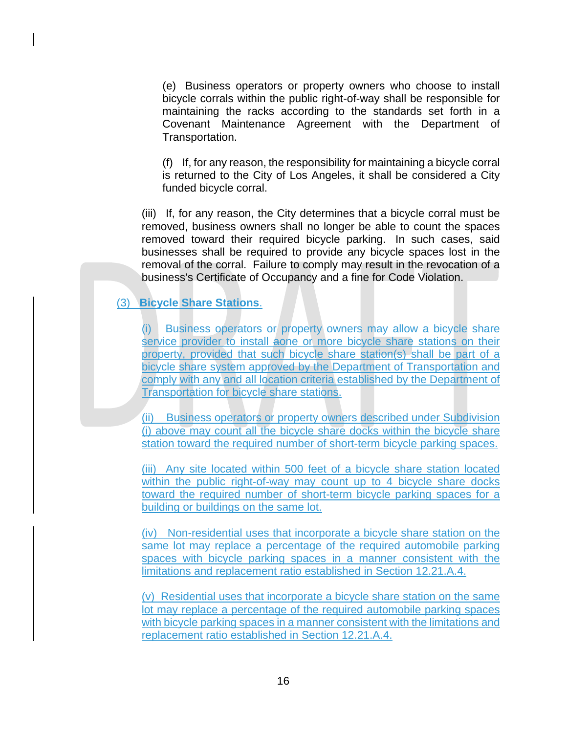(e) Business operators or property owners who choose to install bicycle corrals within the public right-of-way shall be responsible for maintaining the racks according to the standards set forth in a Covenant Maintenance Agreement with the Department of Transportation.

(f) If, for any reason, the responsibility for maintaining a bicycle corral is returned to the City of Los Angeles, it shall be considered a City funded bicycle corral.

(iii) If, for any reason, the City determines that a bicycle corral must be removed, business owners shall no longer be able to count the spaces removed toward their required bicycle parking. In such cases, said businesses shall be required to provide any bicycle spaces lost in the removal of the corral. Failure to comply may result in the revocation of a business's Certificate of Occupancy and a fine for Code Violation.

## (3) **Bicycle Share Stations**.

(i) Business operators or property owners may allow a bicycle share service provider to install aone or more bicycle share stations on their property, provided that such bicycle share station(s) shall be part of a bicycle share system approved by the Department of Transportation and comply with any and all location criteria established by the Department of Transportation for bicycle share stations.

(ii) Business operators or property owners described under Subdivision (i) above may count all the bicycle share docks within the bicycle share station toward the required number of short-term bicycle parking spaces.

(iii) Any site located within 500 feet of a bicycle share station located within the public right-of-way may count up to 4 bicycle share docks toward the required number of short-term bicycle parking spaces for a building or buildings on the same lot.

(iv) Non-residential uses that incorporate a bicycle share station on the same lot may replace a percentage of the required automobile parking spaces with bicycle parking spaces in a manner consistent with the limitations and replacement ratio established in Section 12.21.A.4.

(v) Residential uses that incorporate a bicycle share station on the same lot may replace a percentage of the required automobile parking spaces with bicycle parking spaces in a manner consistent with the limitations and replacement ratio established in Section 12.21.A.4.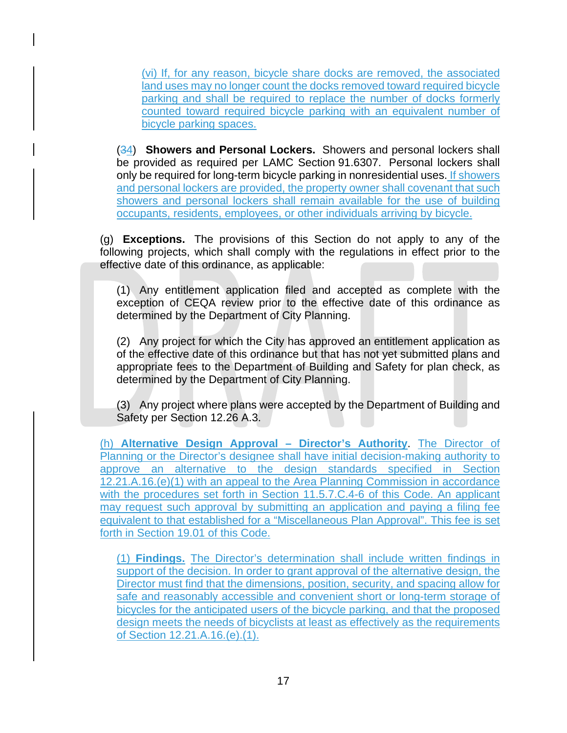(vi) If, for any reason, bicycle share docks are removed, the associated land uses may no longer count the docks removed toward required bicycle parking and shall be required to replace the number of docks formerly counted toward required bicycle parking with an equivalent number of bicycle parking spaces.

(34) **Showers and Personal Lockers.** Showers and personal lockers shall be provided as required per LAMC Section [91.6307.](javascript:openNamedPopup(%22/nxt/gateway.dll?f=id$id=lapz0-0-0-72-pop$t=document-frame.htm$3.0$p=%22,%22Not%20Part%20of%20Zoning%20Code...%22,7770,4035);) Personal lockers shall only be required for long-term bicycle parking in nonresidential uses. If showers and personal lockers are provided, the property owner shall covenant that such showers and personal lockers shall remain available for the use of building occupants, residents, employees, or other individuals arriving by bicycle.

(g) **Exceptions.** The provisions of this Section do not apply to any of the following projects, which shall comply with the regulations in effect prior to the effective date of this ordinance, as applicable:

(1) Any entitlement application filed and accepted as complete with the exception of CEQA review prior to the effective date of this ordinance as determined by the Department of City Planning.

(2) Any project for which the City has approved an entitlement application as of the effective date of this ordinance but that has not yet submitted plans and appropriate fees to the Department of Building and Safety for plan check, as determined by the Department of City Planning.

(3) Any project where plans were accepted by the Department of Building and Safety per Section [12.26](http://library.amlegal.com/nxt/gateway.dll?f=jumplink$jumplink_x=Advanced$jumplink_vpc=first$jumplink_xsl=querylink.xsl$jumplink_sel=title;path;content-type;home-title;item-bookmark$jumplink_d=california(lapz)$jumplink_q=%5bfield%20folio-destination-name:%2712.26.%27%5d$jumplink_md=target-id=JD_12.26.) A.3.

(h) **Alternative Design Approval – Director's Authority**. The Director of Planning or the Director's designee shall have initial decision-making authority to approve an alternative to the design standards specified in Section 12.21.A.16.(e)(1) with an appeal to the Area Planning Commission in accordance with the procedures set forth in Section 11.5.7.C.4-6 of this Code. An applicant may request such approval by submitting an application and paying a filing fee equivalent to that established for a "Miscellaneous Plan Approval". This fee is set forth in Section 19.01 of this Code.

(1) **Findings.** The Director's determination shall include written findings in support of the decision. In order to grant approval of the alternative design, the Director must find that the dimensions, position, security, and spacing allow for safe and reasonably accessible and convenient short or long-term storage of bicycles for the anticipated users of the bicycle parking, and that the proposed design meets the needs of bicyclists at least as effectively as the requirements of Section 12.21.A.16.(e).(1).